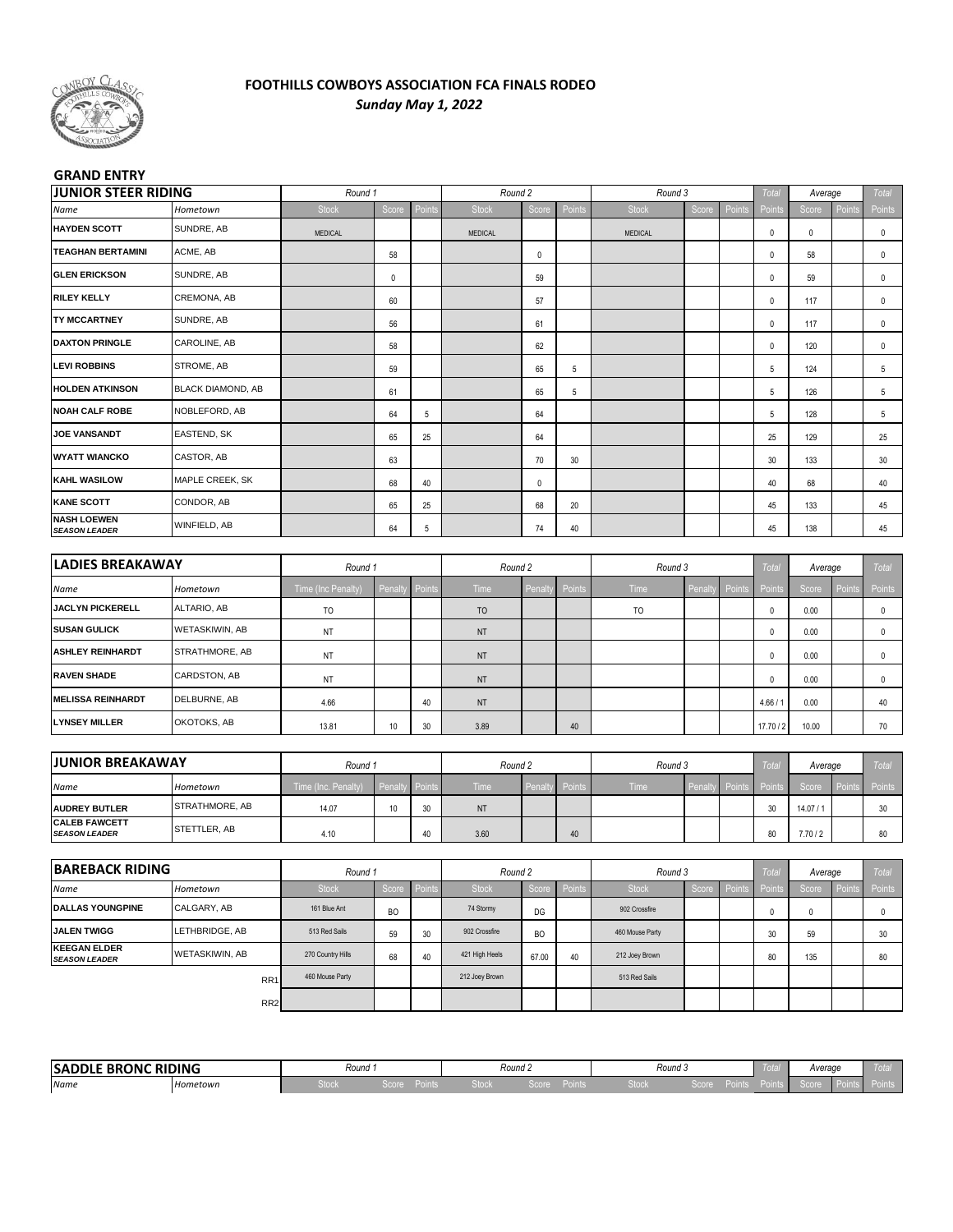

#### **FOOTHILLS COWBOYS ASSOCIATION FCA FINALS RODEO** *Sunday May 1, 2022*

#### **GRAND ENTRY**

| <b>JUNIOR STEER RIDING</b> |                                                           |        |                                          |                |        |                                                     |                 |        |                                                     | <b>Total</b> |                       |               | Total                                                        |
|----------------------------|-----------------------------------------------------------|--------|------------------------------------------|----------------|--------|-----------------------------------------------------|-----------------|--------|-----------------------------------------------------|--------------|-----------------------|---------------|--------------------------------------------------------------|
| Hometown                   | Stock                                                     | Score  | Point                                    | Stock          | Score  | Points                                              | Stock           | Score  | Points                                              | Points       | Score                 | Point         | Points                                                       |
| SUNDRE, AB                 | <b>MEDICAL</b>                                            |        |                                          | <b>MEDICAL</b> |        |                                                     | MEDICAL         |        |                                                     | 0            | 0                     |               | $\mathbf 0$                                                  |
| ACME, AB                   |                                                           | 58     |                                          |                | 0      |                                                     |                 |        |                                                     | 0            | 58                    |               | 0                                                            |
| SUNDRE, AB                 |                                                           | 0      |                                          |                | 59     |                                                     |                 |        |                                                     | 0            | 59                    |               | 0                                                            |
| CREMONA, AB                |                                                           | 60     |                                          |                | 57     |                                                     |                 |        |                                                     | 0            | 117                   |               | 0                                                            |
| SUNDRE, AB                 |                                                           | 56     |                                          |                | 61     |                                                     |                 |        |                                                     | $\pmb{0}$    | 117                   |               | $\mathbf 0$                                                  |
| CAROLINE, AB               |                                                           | 58     |                                          |                | 62     |                                                     |                 |        |                                                     | 0            | 120                   |               | 0                                                            |
| STROME, AB                 |                                                           | 59     |                                          |                | 65     | 5                                                   |                 |        |                                                     | 5            | 124                   |               | 5                                                            |
| <b>BLACK DIAMOND, AB</b>   |                                                           | 61     |                                          |                | 65     | 5                                                   |                 |        |                                                     | 5            | 126                   |               | 5                                                            |
| NOBLEFORD, AB              |                                                           | 64     | 5                                        |                | 64     |                                                     |                 |        |                                                     | 5            | 128                   |               | 5                                                            |
| EASTEND, SK                |                                                           | 65     | 25                                       |                | 64     |                                                     |                 |        |                                                     | 25           | 129                   |               | 25                                                           |
| CASTOR, AB                 |                                                           | 63     |                                          |                | 70     | 30                                                  |                 |        |                                                     | 30           | 133                   |               | 30                                                           |
| MAPLE CREEK, SK            |                                                           | 68     | 40                                       |                | 0      |                                                     |                 |        |                                                     | 40           | 68                    |               | 40                                                           |
| CONDOR, AB                 |                                                           | 65     | 25                                       |                | 68     | 20                                                  |                 |        |                                                     | 45           | 133                   |               | 45                                                           |
| WINFIELD, AB               |                                                           | 64     | 5                                        |                | 74     | 40                                                  |                 |        |                                                     | 45           | 138                   |               | 45                                                           |
|                            |                                                           |        |                                          |                |        |                                                     |                 |        |                                                     |              |                       |               |                                                              |
| <b>LADIES BREAKAWAY</b>    |                                                           |        |                                          |                |        |                                                     |                 |        |                                                     | <b>Total</b> |                       |               | Total                                                        |
| Hometown                   | Time (Inc Penalty)                                        | Penalt | Points                                   | Time           | Penalt | Points                                              | Time            | Penalt | Points                                              | Points       | Score                 | <b>Points</b> | Points                                                       |
| ALTARIO, AB                | TO                                                        |        |                                          | T <sub>O</sub> |        |                                                     | TO              |        |                                                     | 0            | 0.00                  |               | 0                                                            |
| WETASKIWIN, AB             | NT                                                        |        |                                          | NT             |        |                                                     |                 |        |                                                     | 0            | 0.00                  |               | 0                                                            |
| STRATHMORE, AB             | ΝT                                                        |        |                                          | NT             |        |                                                     |                 |        |                                                     | 0            | 0.00                  |               | 0                                                            |
| CARDSTON, AB               | NT                                                        |        |                                          | NT             |        |                                                     |                 |        |                                                     | 0            | 0.00                  |               | 0                                                            |
| DELBURNE, AB               | 4.66                                                      |        | 40                                       | NT             |        |                                                     |                 |        |                                                     | 4.66 / 1     | 0.00                  |               | 40                                                           |
| OKOTOKS, AB                | 13.81                                                     | 10     | 30                                       | 3.89           |        | 40                                                  |                 |        |                                                     | 17.70 / 2    | 10.00                 |               | 70                                                           |
|                            |                                                           |        |                                          |                |        |                                                     |                 |        |                                                     |              |                       |               |                                                              |
|                            |                                                           |        |                                          |                |        |                                                     |                 |        |                                                     | Total        |                       |               | Total                                                        |
| Hometown                   | Time (Inc. Penalty)                                       | Penalt |                                          | Time           |        | Points                                              | Time            |        |                                                     | Points       | Score                 |               | Points                                                       |
|                            | 14.07                                                     | 10     | 30                                       | NT             |        |                                                     |                 |        |                                                     | 30           | 14.07/1               |               | 30                                                           |
|                            | 4.10                                                      |        | 40                                       | 3.60           |        | 40                                                  |                 |        |                                                     | 80           | 7.70/2                |               | 80                                                           |
| <b>BAREBACK RIDING</b>     |                                                           |        |                                          |                |        |                                                     |                 |        |                                                     |              |                       |               | Total                                                        |
| Hometown                   | Stock                                                     | Score  | Points                                   | Stock          |        |                                                     | Stock           |        |                                                     | Points       | Score                 |               | Points                                                       |
| CALGARY, AB                | 161 Blue Ant                                              | BO     |                                          | 74 Stormy      | DG     |                                                     | 902 Crossfire   |        |                                                     | 0            | 0                     |               | 0                                                            |
| LETHBRIDGE, AB             | 513 Red Sails                                             | 59     | 30                                       | 902 Crossfire  | BO     |                                                     | 460 Mouse Party |        |                                                     | 30           | 59                    |               | 30                                                           |
| WETASKIWIN, AB             | 270 Country Hills                                         | 68     | 40                                       | 421 High Heels | 67.00  | 40                                                  | 212 Joey Brown  |        |                                                     | 80           | 135                   |               | 80                                                           |
| RR1                        | 460 Mouse Party                                           |        |                                          | 212 Joey Brown |        |                                                     | 513 Red Sails   |        |                                                     |              |                       |               |                                                              |
| RR <sub>2</sub>            |                                                           |        |                                          |                |        |                                                     |                 |        |                                                     |              |                       |               |                                                              |
|                            | <b>JUNIOR BREAKAWAY</b><br>STRATHMORE, AB<br>STETTLER, AB |        | Round 1<br>Round 1<br>Round 1<br>Round 1 | Points         |        | Round 2<br>Round 2<br>Round 2<br>Penalty<br>Round 2 | Score Points    |        | Round 3<br>Round 3<br>Round 3<br>Penalty<br>Round 3 | Points       | Total<br>Score Points |               | Average<br>Average<br>Average<br>Points<br>Average<br>Points |

| <b>BRONC RIDING</b><br><b>SADDLE L</b> |          | Round .                                    |               |      | Round <sub>4</sub> |             | Round 5 |  | Average |  |
|----------------------------------------|----------|--------------------------------------------|---------------|------|--------------------|-------------|---------|--|---------|--|
| Name                                   | Hometown | <b>The Company of the Company</b><br>⊳toci | ----<br>50010 | זטענ | ___<br>500 le      | --<br>MING. | זטע     |  |         |  |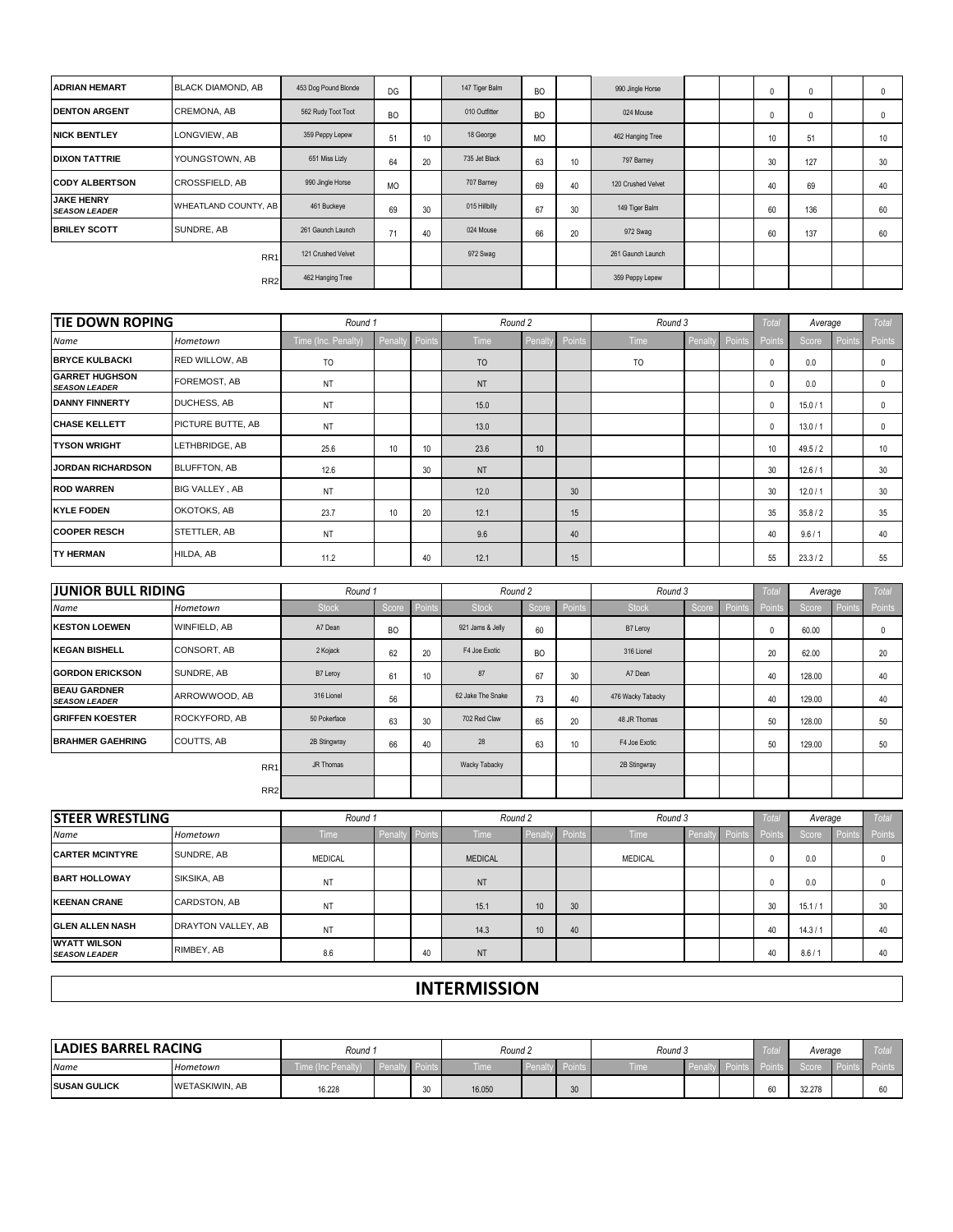| <b>ADRIAN HEMART</b>                      | <b>BLACK DIAMOND, AB</b> | 453 Dog Pound Blonde | DG        |    | 147 Tiger Balm | <b>BO</b> |    | 990 Jingle Horse   |  | $\mathbf{0}$ | $\mathbf{0}$ | $\Omega$         |
|-------------------------------------------|--------------------------|----------------------|-----------|----|----------------|-----------|----|--------------------|--|--------------|--------------|------------------|
| <b>DENTON ARGENT</b>                      | <b>CREMONA, AB</b>       | 562 Rudy Toot Toot   | <b>BO</b> |    | 010 Outfitter  | <b>BO</b> |    | 024 Mouse          |  | $^{\circ}$   | 0            | $\Omega$         |
| <b>NICK BENTLEY</b>                       | LONGVIEW, AB             | 359 Peppy Lepew      | 51        | 10 | 18 George      | <b>MO</b> |    | 462 Hanging Tree   |  | 10           | 51           | 10 <sup>10</sup> |
| <b>DIXON TATTRIE</b>                      | YOUNGSTOWN, AB           | 651 Miss Lizly       | 64        | 20 | 735 Jet Black  | 63        | 10 | 797 Barney         |  | 30           | 127          | 30               |
| <b>ICODY ALBERTSON</b>                    | <b>CROSSFIELD, AB</b>    | 990 Jingle Horse     | <b>MO</b> |    | 707 Barney     | 69        | 40 | 120 Crushed Velvet |  | 40           | 69           | 40               |
| <b>JAKE HENRY</b><br><b>SEASON LEADER</b> | WHEATLAND COUNTY, AB     | 461 Buckeye          | 69        | 30 | 015 Hillbilly  | 67        | 30 | 149 Tiger Balm     |  | 60           | 136          | 60               |
| <b>BRILEY SCOTT</b>                       | SUNDRE, AB               | 261 Gaunch Launch    | 71        | 40 | 024 Mouse      | 66        | 20 | 972 Swag           |  | 60           | 137          | 60               |
|                                           | RR <sub>1</sub>          | 121 Crushed Velvet   |           |    | 972 Swag       |           |    | 261 Gaunch Launch  |  |              |              |                  |
|                                           | RR <sub>2</sub>          | 462 Hanging Tree     |           |    |                |           |    | 359 Peppy Lepew    |  |              |              |                  |

| <b>TIE DOWN ROPING</b>                         |                       | Round 1             |                 |                 | Round 2        |                 |        | Round 3        |         |        | <b>Total</b>     | Average  |               | Total            |
|------------------------------------------------|-----------------------|---------------------|-----------------|-----------------|----------------|-----------------|--------|----------------|---------|--------|------------------|----------|---------------|------------------|
| Name                                           | Hometown              | Time (Inc. Penalty) | Penalty         | Points          | Time           | Penalty         | Points | Time           | Penalty | Points | Points           | Score    | <b>Points</b> | Points           |
| <b>BRYCE KULBACKI</b>                          | <b>RED WILLOW, AB</b> | <b>TO</b>           |                 |                 | T <sub>O</sub> |                 |        | T <sub>O</sub> |         |        | $\mathbf 0$      | 0.0      |               | 0                |
| <b>IGARRET HUGHSON</b><br><b>SEASON LEADER</b> | FOREMOST, AB          | NT                  |                 |                 | <b>NT</b>      |                 |        |                |         |        | $\mathbf 0$      | 0.0      |               | 0                |
| <b>DANNY FINNERTY</b>                          | <b>DUCHESS, AB</b>    | NT                  |                 |                 | 15.0           |                 |        |                |         |        | $^{\circ}$       | 15.0 / 1 |               |                  |
| <b>CHASE KELLETT</b>                           | PICTURE BUTTE, AB     | NT                  |                 |                 | 13.0           |                 |        |                |         |        | $^{\circ}$       | 13.0 / 1 |               | $\mathbf{0}$     |
| <b>TYSON WRIGHT</b>                            | LETHBRIDGE, AB        | 25.6                | 10 <sup>°</sup> | 10 <sup>°</sup> | 23.6           | 10 <sup>1</sup> |        |                |         |        | 10 <sup>10</sup> | 49.5/2   |               | 10 <sup>10</sup> |
| <b>JORDAN RICHARDSON</b>                       | <b>BLUFFTON, AB</b>   | 12.6                |                 | 30              | <b>NT</b>      |                 |        |                |         |        | 30               | 12.6/1   |               | 30               |
| <b>ROD WARREN</b>                              | BIG VALLEY, AB        | NT                  |                 |                 | 12.0           |                 | 30     |                |         |        | 30               | 12.0 / 1 |               | 30               |
| <b>KYLE FODEN</b>                              | OKOTOKS, AB           | 23.7                | 10              | 20              | 12.1           |                 | 15     |                |         |        | 35               | 35.8/2   |               | 35               |
| <b>COOPER RESCH</b>                            | STETTLER, AB          | NT                  |                 |                 | 9.6            |                 | 40     |                |         |        | 40               | 9.6 / 1  |               | 40               |
| <b>TY HERMAN</b>                               | HILDA, AB             | 11.2                |                 | 40              | 12.1           |                 | 15     |                |         |        | 55               | 23.3/2   |               | 55               |

| <b>JUNIOR BULL RIDING</b>                   |                      | Round 1      |           |                 | Round 2           |           |        | Round 3           |       |        | Total         | Average |               | Total  |
|---------------------------------------------|----------------------|--------------|-----------|-----------------|-------------------|-----------|--------|-------------------|-------|--------|---------------|---------|---------------|--------|
| Name                                        | Hometown             | <b>Stock</b> | Score     | Points          | <b>Stock</b>      | Score     | Points | <b>Stock</b>      | Score | Points | <b>Points</b> | Score,  | <b>Points</b> | Points |
| <b>IKESTON LOEWEN</b>                       | <b>WINFIELD, AB</b>  | A7 Dean      | <b>BO</b> |                 | 921 Jams & Jelly  | 60        |        | B7 Leroy          |       |        | u             | 60.00   |               |        |
| <b>KEGAN BISHELL</b>                        | CONSORT, AB          | 2 Kojack     | 62        | 20              | F4 Joe Exotic     | <b>BO</b> |        | 316 Lionel        |       |        | 20            | 62.00   |               | 20     |
| <b>GORDON ERICKSON</b>                      | SUNDRE, AB           | B7 Leroy     | 61        | 10 <sup>°</sup> | 87                | 67        | 30     | A7 Dean           |       |        | 40            | 128.00  |               | 40     |
| <b>BEAU GARDNER</b><br><b>SEASON LEADER</b> | ARROWWOOD, AB        | 316 Lionel   | 56        |                 | 62 Jake The Snake | 73        | 40     | 476 Wacky Tabacky |       |        | 40            | 129.00  |               | 40     |
| <b>GRIFFEN KOESTER</b>                      | <b>ROCKYFORD, AB</b> | 50 Pokerface | 63        | 30              | 702 Red Claw      | 65        | 20     | 48 JR Thomas      |       |        | 50            | 128.00  |               | 50     |
| <b>BRAHMER GAEHRING</b>                     | <b>COUTTS, AB</b>    | 2B Stingwray | 66        | 40              | 28                | 63        | 10     | F4 Joe Exotic     |       |        | 50            | 129.00  |               | 50     |
|                                             | RR <sub>1</sub>      | JR Thomas    |           |                 | Wacky Tabacky     |           |        | 2B Stingwray      |       |        |               |         |               |        |
|                                             | RR <sub>2</sub>      |              |           |                 |                   |           |        |                   |       |        |               |         |               |        |

| <b>STEER WRESTLING</b>                      |                    | Round 1        |         |          | Round 2        |                      |        | Round 3     |        |          | Total  | Average |        | <b>Total</b> |
|---------------------------------------------|--------------------|----------------|---------|----------|----------------|----------------------|--------|-------------|--------|----------|--------|---------|--------|--------------|
| Name                                        | Hometown           | <b>Time</b>    | Penalty | v Points | <b>Time</b>    | Penalty <sup>1</sup> | Points | <b>Time</b> | Penalt | v Points | Points | Score   | Points | Points       |
| <b>CARTER MCINTYRE</b>                      | SUNDRE, AB         | <b>MEDICAL</b> |         |          | <b>MEDICAL</b> |                      |        | MEDICAL     |        |          |        | 0.0     |        |              |
| <b>BART HOLLOWAY</b>                        | SIKSIKA, AB        | NT             |         |          | <b>NT</b>      |                      |        |             |        |          |        | 0.0     |        |              |
| <b>KEENAN CRANE</b>                         | CARDSTON, AB       | <b>NT</b>      |         |          | 15.1           | ΙUΙ                  | 30     |             |        |          | 30     | 15.1/1  |        | 30           |
| <b>GLEN ALLEN NASH</b>                      | DRAYTON VALLEY, AB | NT             |         |          | 14.3           | 10 <sup>°</sup>      | 40     |             |        |          | 40     | 14.3/1  |        | 40           |
| <b>WYATT WILSON</b><br><b>SEASON LEADER</b> | RIMBEY, AB         | 8.6            |         | 40       | <b>NT</b>      |                      |        |             |        |          | 40     | 8.6/1   |        | 40           |

### **INTERMISSION**

| <b>LADIES BARREL RACING</b> |                       | Round 1       |   | Round 2 |   | Round 3 |  | rota   | Average | $U_{\rm L}$ |
|-----------------------------|-----------------------|---------------|---|---------|---|---------|--|--------|---------|-------------|
| Name                        | Hometown              | iric Perialiv |   | lime !  |   | l ime   |  |        |         |             |
| <b>ISUSAN GULICK</b>        | <b>WETASKIWIN, AB</b> | 16.228        | v | 16.050  | ື |         |  | $\sim$ | 32.278  |             |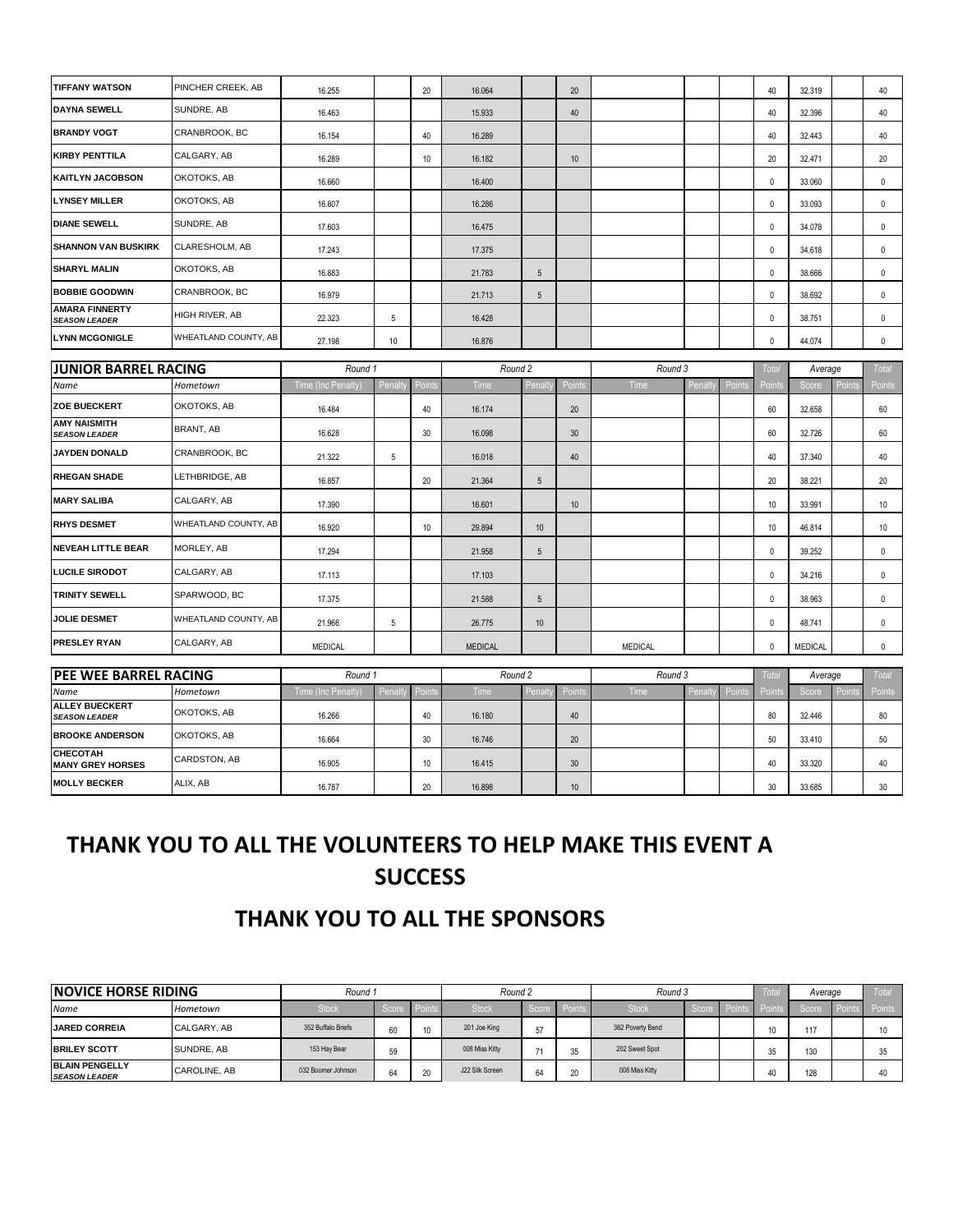| <b>TIFFANY WATSON</b>                         | PINCHER CREEK, AB    | 16.255             |                | 20                | 16.064         |                 | 20            |                |        |        | 40           | 32.319         |       | 40           |
|-----------------------------------------------|----------------------|--------------------|----------------|-------------------|----------------|-----------------|---------------|----------------|--------|--------|--------------|----------------|-------|--------------|
| <b>DAYNA SEWELL</b>                           | SUNDRE, AB           | 16.463             |                |                   | 15.933         |                 | 40            |                |        |        | 40           | 32.396         |       | 40           |
| <b>BRANDY VOGT</b>                            | CRANBROOK, BC        | 16.154             |                | 40                | 16.289         |                 |               |                |        |        | 40           | 32.443         |       | 40           |
| <b>KIRBY PENTTILA</b>                         | CALGARY, AB          | 16.289             |                | 10                | 16.182         |                 | 10            |                |        |        | 20           | 32.471         |       | 20           |
| <b>KAITLYN JACOBSON</b>                       | OKOTOKS, AB          | 16.660             |                |                   | 16.400         |                 |               |                |        |        | 0            | 33.060         |       | 0            |
| <b>LYNSEY MILLER</b>                          | OKOTOKS, AB          | 16.807             |                |                   | 16.286         |                 |               |                |        |        | 0            | 33.093         |       | $\mathbf 0$  |
| <b>DIANE SEWELL</b>                           | SUNDRE, AB           | 17.603             |                |                   | 16.475         |                 |               |                |        |        | $\mathbf 0$  | 34.078         |       | 0            |
| <b>SHANNON VAN BUSKIRK</b>                    | CLARESHOLM, AB       | 17.243             |                |                   | 17.375         |                 |               |                |        |        | $\mathbf 0$  | 34.618         |       | $\mathbf 0$  |
| <b>SHARYL MALIN</b>                           | OKOTOKS, AB          | 16.883             |                |                   | 21.783         | $5\phantom{.0}$ |               |                |        |        | $\mathbf 0$  | 38.666         |       | $\pmb{0}$    |
| <b>BOBBIE GOODWIN</b>                         | CRANBROOK, BC        | 16.979             |                |                   | 21.713         | 5               |               |                |        |        | $\mathbf 0$  | 38.692         |       | $\mathbf 0$  |
| <b>AMARA FINNERTY</b><br><b>SEASON LEADER</b> | HIGH RIVER, AB       | 22.323             | $\overline{5}$ |                   | 16.428         |                 |               |                |        |        | $\mathbf 0$  | 38.751         |       | 0            |
| <b>LYNN MCGONIGLE</b>                         | WHEATLAND COUNTY, AB | 27.198             | $10$           |                   | 16.876         |                 |               |                |        |        | $\pmb{0}$    | 44.074         |       | $\mathbf 0$  |
| <b>JUNIOR BARREL RACING</b>                   |                      | Round 1            |                |                   | Round 2        |                 |               | Round 3        |        |        | Total        | Average        |       | <b>Total</b> |
| Name                                          | Hometown             | Time (Inc Penalty) | Penal          | Point             | Time           | Penalt          | <b>Points</b> | Time           | Penal  | Point  | Points       | Score          | Point | Points       |
| ZOE BUECKERT                                  | OKOTOKS, AB          | 16.484             |                | 40                | 16.174         |                 | 20            |                |        |        | 60           | 32.658         |       | 60           |
| <b>AMY NAISMITH</b><br><b>SEASON LEADER</b>   | BRANT, AB            | 16.628             |                | 30                | 16.098         |                 | 30            |                |        |        | 60           | 32.726         |       | 60           |
| JAYDEN DONALD                                 | CRANBROOK, BC        | 21.322             | 5              |                   | 16.018         |                 | 40            |                |        |        | 40           | 37.340         |       | 40           |
| <b>RHEGAN SHADE</b>                           | LETHBRIDGE, AB       | 16.857             |                | 20                | 21.364         | $5\phantom{.0}$ |               |                |        |        | 20           | 38.221         |       | 20           |
| <b>MARY SALIBA</b>                            | CALGARY, AB          | 17.390             |                |                   | 16.601         |                 | 10            |                |        |        | 10           | 33.991         |       | 10           |
| <b>RHYS DESMET</b>                            | WHEATLAND COUNTY, AB | 16.920             |                | 10                | 29.894         | $10$            |               |                |        |        | 10           | 46.814         |       | 10           |
| <b>NEVEAH LITTLE BEAR</b>                     | MORLEY, AB           | 17.294             |                |                   | 21.958         | $5\phantom{.0}$ |               |                |        |        | $\pmb{0}$    | 39.252         |       | 0            |
| <b>LUCILE SIRODOT</b>                         | CALGARY, AB          | 17.113             |                |                   | 17.103         |                 |               |                |        |        | $\mathbf 0$  | 34.216         |       | 0            |
| <b>TRINITY SEWELL</b>                         | SPARWOOD, BC         | 17.375             |                |                   | 21.588         | $5\phantom{.0}$ |               |                |        |        | $\mathbf 0$  | 38.963         |       | $\mathbf 0$  |
| <b>JOLIE DESMET</b>                           | WHEATLAND COUNTY, AB | 21.966             | 5              |                   | 26.775         | 10              |               |                |        |        | $\mathbf 0$  | 48.741         |       | $\mathbf 0$  |
| <b>PRESLEY RYAN</b>                           | CALGARY, AB          | <b>MEDICAL</b>     |                |                   | <b>MEDICAL</b> |                 |               | <b>MEDICAL</b> |        |        | $\pmb{0}$    | <b>MEDICAL</b> |       | $\mathbf 0$  |
| <b>PEE WEE BARREL RACING</b>                  |                      | Round 1            |                |                   | Round 2        |                 |               | Round 3        |        |        | <b>Total</b> | Average        |       | <b>Total</b> |
| Name                                          | Hometown             | Time (Inc Penalty) | Penalt         | <sup>o</sup> oint | Time           | Penalt          | Point         | Time           | Penalt | Point: | Points       | Score          | Point | Points       |
| <b>ALLEY BUECKERT</b><br><b>SEASON LEADER</b> | OKOTOKS, AB          | 16.266             |                | 40                | 16.180         |                 | 40            |                |        |        | 80           | 32.446         |       | 80           |
| <b>BROOKE ANDERSON</b>                        | OKOTOKS, AB          | 16.664             |                | 30                | 16.746         |                 | 20            |                |        |        | 50           | 33.410         |       | 50           |
| CHECOTAH<br><b>MANY GREY HORSES</b>           | CARDSTON, AB         | 16.905             |                | 10                | 16.415         |                 | 30            |                |        |        | 40           | 33.320         |       | 40           |
| <b>MOLLY BECKER</b>                           | ALIX, AB             | 16.787             |                | 20                | 16.898         |                 | 10            |                |        |        | 30           | 33.685         |       | 30           |

# **THANK YOU TO ALL THE VOLUNTEERS TO HELP MAKE THIS EVENT A SUCCESS**

## **THANK YOU TO ALL THE SPONSORS**

| <b>INOVICE HORSE RIDING</b>                   |                     | Round 1            |       |                        | Round 2         |      |              | Round 3          |     | Total | Average | Tota   |
|-----------------------------------------------|---------------------|--------------------|-------|------------------------|-----------------|------|--------------|------------------|-----|-------|---------|--------|
| Name                                          | Hometown            | Stock              | Score | $\blacksquare$ Points: | <b>Stock</b>    |      | Score Points | Stock            | ⊟Po |       | Score   | Points |
| <b>JARED CORREIA</b>                          | CALGARY, AB         | 352 Buffalo Briefs | 60    | 10 <sup>10</sup>       | 201 Joe King    | $-1$ |              | 362 Poverty Bend |     |       | 117     | 10     |
| <b>BRILEY SCOTT</b>                           | SUNDRE, AB          | 153 Hay Bear       | 59    |                        | 008 Miss Kitty  |      |              | 202 Sweet Spot   |     |       | 130     | 25     |
| <b>BLAIN PENGELLY</b><br><b>SEASON LEADER</b> | <b>CAROLINE, AB</b> | 032 Boomer Johnson | 64    |                        | J22 Silk Screen | 64   |              | 008 Miss Kitty   |     |       | 128     | 40     |